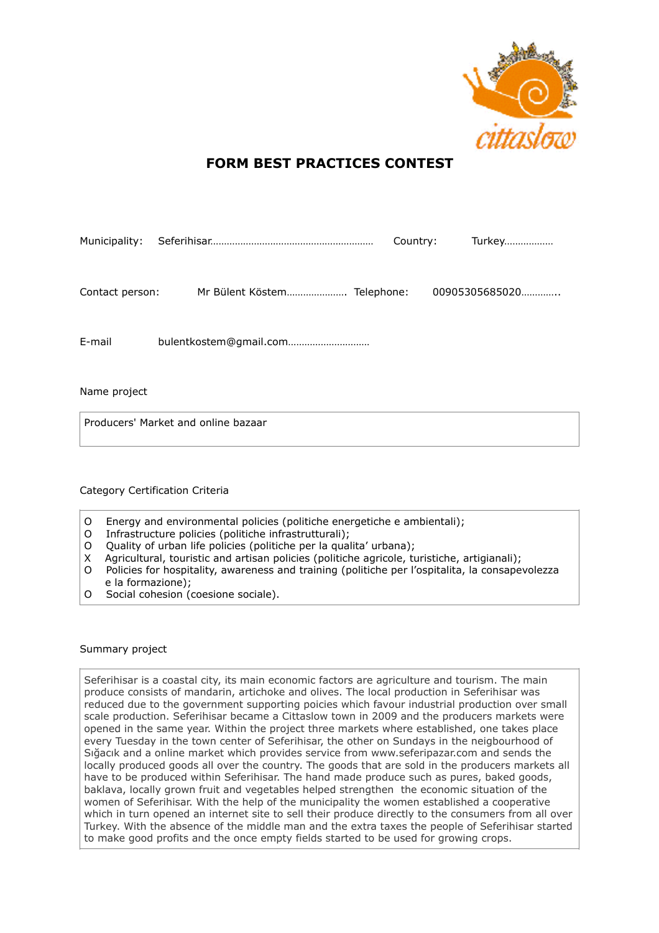

# **FORM BEST PRACTICES CONTEST**

| Municipality:   |  |                             |  | Country: |  | <b>Turkey</b>  |  |
|-----------------|--|-----------------------------|--|----------|--|----------------|--|
| Contact person: |  | Mr Bülent Köstem Telephone: |  |          |  | 00905305685020 |  |
|                 |  |                             |  |          |  |                |  |
| E-mail          |  | bulentkostem@gmail.com      |  |          |  |                |  |
|                 |  |                             |  |          |  |                |  |

Name project

Producers' Market and online bazaar

## Category Certification Criteria

- O Energy and environmental policies (politiche energetiche e ambientali);<br>O Infrastructure policies (politiche infrastrutturali):
- Infrastructure policies (politiche infrastrutturali);
- O Quality of urban life policies (politiche per la qualita' urbana);
- X Agricultural, touristic and artisan policies (politiche agricole, turistiche, artigianali);
- O Policies for hospitality, awareness and training (politiche per l'ospitalita, la consapevolezza e la formazione);
- O Social cohesion (coesione sociale).

### Summary project

Seferihisar is a coastal city, its main economic factors are agriculture and tourism. The main produce consists of mandarin, artichoke and olives. The local production in Seferihisar was reduced due to the government supporting poicies which favour industrial production over small scale production. Seferihisar became a Cittaslow town in 2009 and the producers markets were opened in the same year. Within the project three markets where established, one takes place every Tuesday in the town center of Seferihisar, the other on Sundays in the neigbourhood of Sığacık and a online market which provides service from www.seferipazar.com and sends the locally produced goods all over the country. The goods that are sold in the producers markets all have to be produced within Seferihisar. The hand made produce such as pures, baked goods, baklava, locally grown fruit and vegetables helped strengthen the economic situation of the women of Seferihisar. With the help of the municipality the women established a cooperative which in turn opened an internet site to sell their produce directly to the consumers from all over Turkey. With the absence of the middle man and the extra taxes the people of Seferihisar started to make good profits and the once empty fields started to be used for growing crops.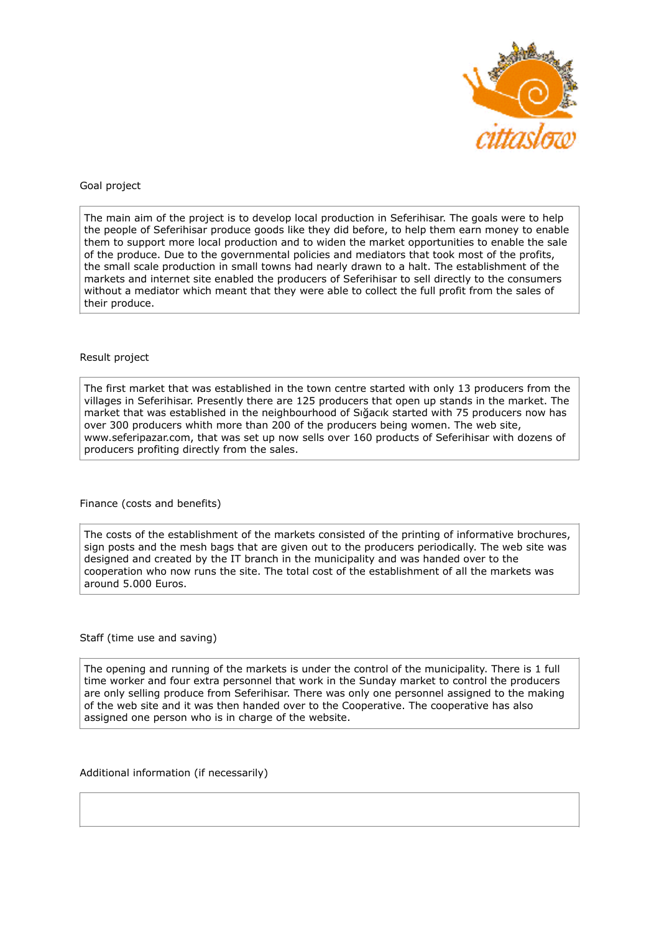

### Goal project

The main aim of the project is to develop local production in Seferihisar. The goals were to help the people of Seferihisar produce goods like they did before, to help them earn money to enable them to support more local production and to widen the market opportunities to enable the sale of the produce. Due to the governmental policies and mediators that took most of the profits, the small scale production in small towns had nearly drawn to a halt. The establishment of the markets and internet site enabled the producers of Seferihisar to sell directly to the consumers without a mediator which meant that they were able to collect the full profit from the sales of their produce.

### Result project

The first market that was established in the town centre started with only 13 producers from the villages in Seferihisar. Presently there are 125 producers that open up stands in the market. The market that was established in the neighbourhood of Sığacık started with 75 producers now has over 300 producers whith more than 200 of the producers being women. The web site, www.seferipazar.com, that was set up now sells over 160 products of Seferihisar with dozens of producers profiting directly from the sales.

Finance (costs and benefits)

The costs of the establishment of the markets consisted of the printing of informative brochures, sign posts and the mesh bags that are given out to the producers periodically. The web site was designed and created by the IT branch in the municipality and was handed over to the cooperation who now runs the site. The total cost of the establishment of all the markets was around 5.000 Euros.

Staff (time use and saving)

The opening and running of the markets is under the control of the municipality. There is 1 full time worker and four extra personnel that work in the Sunday market to control the producers are only selling produce from Seferihisar. There was only one personnel assigned to the making of the web site and it was then handed over to the Cooperative. The cooperative has also assigned one person who is in charge of the website.

Additional information (if necessarily)